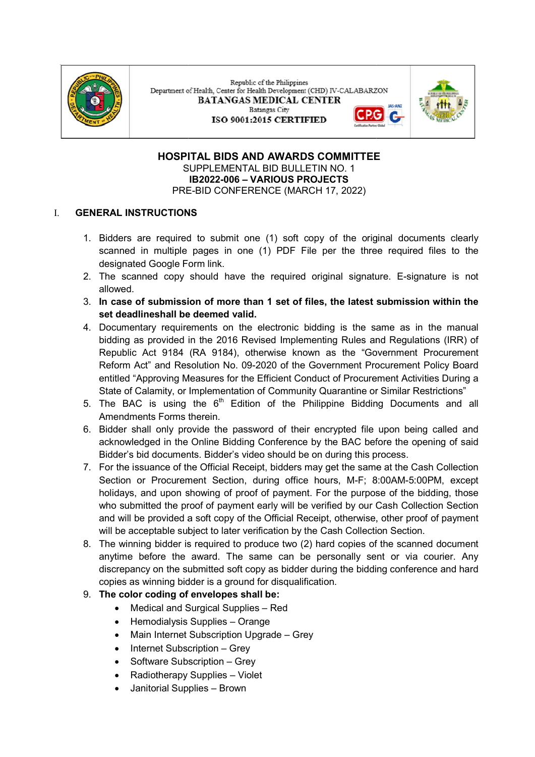

Republic of the Philippines Department of Health, Center for Health Development (CHD) IV-CALABARZON **BATANGAS MEDICAL CENTER Ratangae City** ISO 9001:2015 CERTIFIED



#### HOSPITAL BIDS AND AWARDS COMMITTEE HOSPITAL BIDS AND AWARDS COMMITTEE SUPPLEMENTAL BID BULLETIN NO. 1 PRE PRE-BID CONFERENCE (MARCH 17, 2022) IB2022-006 – VARIOUS PROJECTS

## I. GENERAL INSTRUCTIONS

- 1. Bidders are required to submit one (1) soft copy of the original documents clearly scanned in multiple pages in one (1) PDF File per the three required files to the scanned in multiple pages in one (1) PDF File per the three required files to the designated Google Form link. scanned in multiple pages in one (1) PDF File per the three required files to the<br>designated Google Form link.<br>2. The scanned copy should have the required original signature. E-signature is not
- allowed.
- 3. In case of submission of more than 1 set of files, the latest submission within the set deadlineshall be deemed valid.
- 4. Documentary requirements on the electronic bidding is the same as in the manual Documentary requirements on the electronic bidding is the same as in the manual Documentary requirements on the electronic bidding is the same as in the manual<br>bidding as provided in the 2016 Revised Implementing Rules and Regulations (IRR) of Republic Act 9184 (RA 9184), otherwise known as the "Government Procurement<br>Reform Act" and Resolution No. 09-2020 of the Government Procurement Policy Board Reform Act" and Resolution No. 09 2020 of the Government Procurement Policy Board entitled "Approving Measures for the Efficient Conduct of Procurement Activities During a State of Calamity, or Implementation of Community Quarantine or Similar Restrictions" State of Calamity, or Implementation of Community Quarantine or Similar Restrictions" entitled "Approving Measures for the Efficient Conduct of Procurement Activities During a<br>State of Calamity, or Implementation of Community Quarantine or Similar Restrictions"<br>5. The BAC is using the 6<sup>th</sup> Edition
- Amendments Forms therein.
- Amendments Forms therein.<br>6. Bidder shall only provide the password of their encrypted file upon being called and acknowledged in the Online Bidding Conference by the BAC before the opening of said acknowledged in the Online Bidding Conference by the BAC before the opening of said Bidder's bid documents. Bidder's video should be on during this process. Bidder's bid documents. Bidder's video should be on during this process. acknowledged in the Online Bidding Conference by the BAC before the opening of said<br>Bidder's bid documents. Bidder's video should be on during this process.<br>7. For the issuance of the Official Receipt, bidders may get th
- Section or Procurement Section, during office hours, M-F; 8:00AM-5:00PM, except holidays, and upon showing of proof of payment. For the purpose of the bidding, those holidays, and upon showing of proof of payment. For the purpose of the bidding, those holidays, and upon showing of proof of payment. For the purpose of the bidding, those<br>who submitted the proof of payment early will be verified by our Cash Collection Section and will be provided a soft copy of the Official Receipt, otherwise, other proof of payment and will be provided a soft copy of the Official Receipt, otherwise, other proof of payment will be acceptable subject to later verification by the Cash Collection Section. will be acceptable subject to later verification by the Cash Collection Section. and will be provided a soft copy of the Official Receipt, otherwise, other proof of payment<br>will be acceptable subject to later verification by the Cash Collection Section.<br>8. The winning bidder is required to produce tw
- anytime before the award. The same can be personally sent or via courier. Any discrepancy on the submitted soft copy as bidder during the bidding conference and hard discrepancy on the submitted soft copy as bidder during the bidding conference and hard discrepancy on the submitted soft copy as bidder during<br>copies as winning bidder is a ground for disqualification.

## 9. The color coding of envelopes shall be:

- Medical and Surgical Supplies Red
- Hemodialysis Supplies Orange
- Main Internet Subscription Upgrade Grey
- Internet Subscription Grey
- Software Subscription Grey
- Radiotherapy Supplies Violet
- Janitorial Supplies Brown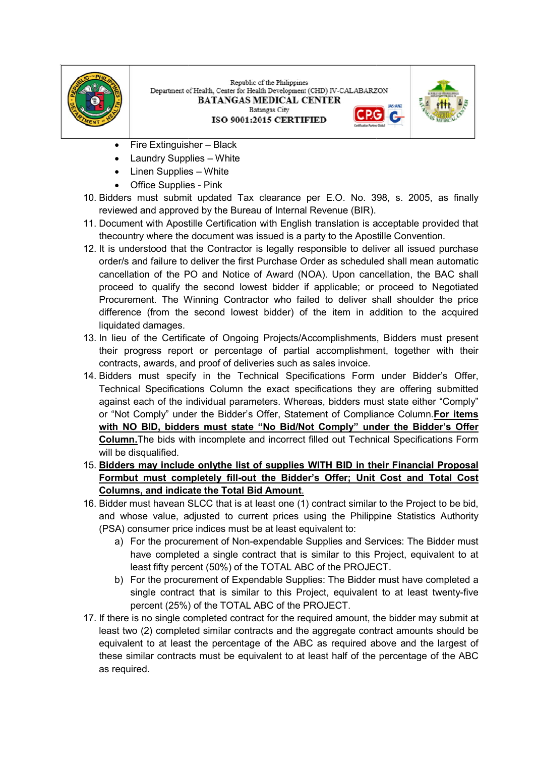

Republic of the Philippines Department of Health, Center for Health Development (CHD) IV-CALABARZON **BATANGAS MEDICAL CENTER Batangas City** G ISO 9001:2015 CERTIFIED



- Fire Extinguisher Black
- Laundry Supplies White
- Linen Supplies White
- Office Supplies Pink
- 10. Bidders must submit updated Tax clearance per E.O. No. 398, s. 2005, as finally reviewed and approved by the Bureau of Internal Revenue (BIR).
- 11. Document with Apostille Certification with English translation is acceptable provided that thecountry where the document was issued is a party to the Apostille Convention. thecountry where the document was issued is a party to the Apostille Convention. ust submit updated Tax clearance per E.O. No. 398, s. 2005, as finally<br>nd approved by the Bureau of Internal Revenue (BIR).<br>with Apostille Certification with English translation is acceptable provided that<br>where the docume with Apostille Certification with English translation is acceptable provided that
- 12. It is understood that the Contractor is legally responsible to deliver all issued purchase It is understood that the Contractor is legally responsible to deliver all issued purchase order/s and failure to deliver the first Purchase Order as scheduled shall mean automatic order/s and failure to deliver the first Purchase Order as scheduled shall mean automatic<br>cancellation of the PO and Notice of Award (NOA). Upon cancellation, the BAC shall proceed to qualify the second lowest bidder if applicable; or proceed to Negotiated proceed to qualify the second lowest bidder if applicable; or proceed to Negotiated Procurement. The Winning Contractor who failed to deliver shall shoulder the price Procurement. The Winning Contractor who failed to deliver shall shoulder the price difference (from the second lowest bidder) of the item in addition to the acquired difference (from the second lowest bidder) of the item in addition to the acquired liquidated damages. to qualify the second lowest bidder if applicable; or proceed to Negotiated<br>nent. The Winning Contractor who failed to deliver shall shoulder the price<br>e (from the second lowest bidder) of the item in addition to the acqui
- 13. In lieu of the Certificate of Ongoing Projects/Accomplishments, Bidders must present their progress report or percentage of partial accomplishment, together with their their progress report or percentage of partial accomplishment, together with their contracts, awards, and proof of deliveries such as sales invoice.
- 14. Bidders must specify in the Technical Specifications Form under Bidder's Offer, Bidders must specify in the Technical Specifications Form under Bidder's Offer, Technical Specifications Column the exact specifications they are offering submitted against each of the individual parameters. Whereas, bidders must state either "Comply" against each of the individual parameters. Whereas, bidders must state either "Comply" or "Not Comply" under the Bidder's Offer, Statement of Compliance Column.For items with NO BID, bidders must state "No Bid/Not Comply" under the Bidder's Offer **Column.**The bids with incomplete and incorrect filled out Technical Specifications Form will be disqualified. Bidders must submit updated Tax clearance per E.O. No. 398, s. 2005, as finally brevit with Apositic Critication with Figsilah transmission in experibely contract at the more than the contract at the more than the more tha
- 15. Bidders may include onlythe list of supplies WITH BID in their Financial Proposal Formbut must completely fill-out the Bidder's Offer; Unit Cost and Total Cost Columns, and indicate the Total Bid Amount .
- 16. Bidder must havean SLCC that is at least one (1) contract similar to the Project to be bid, and whose value, adjusted to current prices using the Philippine Statistics Authority (PSA) consumer price indices must be at least equivalent to:
	- a) For the procurement of Non-expendable Supplies and Services: The Bidder must have completed a single contract that is similar to this Project, equivalent to at least fifty percent (50%) of the TOTAL ABC of the PROJECT. the PROJECT. least fifty percent (50%) of the TOTAL ABC of the PROJECT.
	- b) For the procurement of Expendable Supplies: The Bidder must have completed a single contract that is similar to this Project, equivalent to at least twenty single contract that is similar to this Project, equivalent to at least twenty-five percent (25%) of the TOTAL ABC of the PROJECT.
- 17. If there is no single completed contract for the required amount, the bidder may su If there is no single completed contract for the required amount, the bidder may submit at least two (2) completed similar contracts and the aggregate contract amounts should be least two (2) completed similar contracts and the aggregate contract amounts should be equivalent to at least the percentage of the ABC as required above and the largest of equivalent to at least the percentage of the ABC as required above and the largest of these similar contracts must be equivalent to at least half of the percenta these similar contracts must be equivalent to at least half of the percentage of the ABC as required.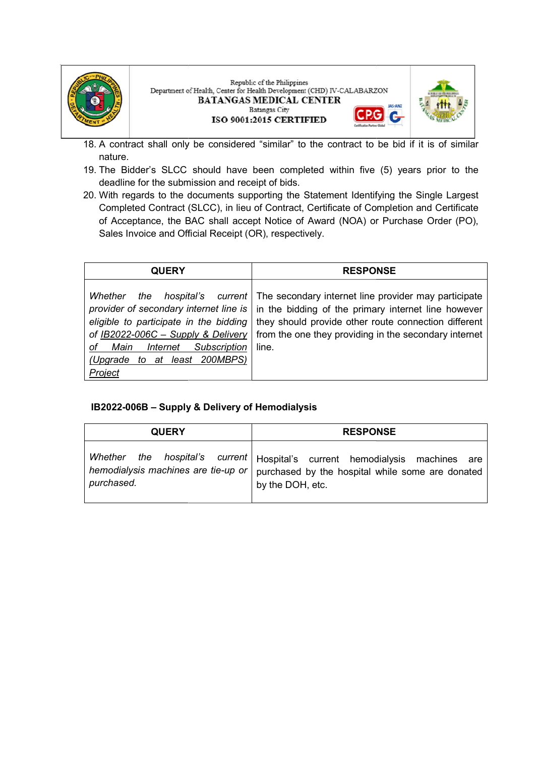





- 18. A contract shall only be considered "similar" to the contract to be bid if it is of similar A contract shall only be considered "similar" to the contract to be bid if it is of similar nature.
- 19. The Bidder's SLCC should have been completed within five (5) years prior to the The Bidder's SLCC should have been completed within five (5) years prior to the deadline for the submission and receipt of bids.
- 20. With regards to the documents supporting the Statement Identifying the Single Largest Completed Contract (SLCC), in lieu of Contract, Certificate of Completion and Certificate Completed Contract (SLCC), in lieu of Contract, Certificate of Completion and Certificate of Acceptance, the BAC shall accept Notice of Award (NOA) or Purchase Order (PO), Sales Invoice and Official Receipt (OR), respectively. Bidder's SLCC should have been completed within five (5) years prior to the line for the submission and receipt of bids.<br>regards to the documents supporting the Statement Identifying the Single Largest<br>pleted Contract (SLC With regards to the documents supporting the Statement Identifying the Single Largest

| <b>QUERY</b>                                                                                      | <b>RESPONSE</b>                                                                                                                                                                                                                                                                                                                                                                           |
|---------------------------------------------------------------------------------------------------|-------------------------------------------------------------------------------------------------------------------------------------------------------------------------------------------------------------------------------------------------------------------------------------------------------------------------------------------------------------------------------------------|
| Whether<br>of Main<br>Subscription<br><b>Internet</b><br>(Upgrade to at least 200MBPS)<br>Project | the hospital's current   The secondary internet line provider may participate<br>provider of secondary internet line is $\vert$ in the bidding of the primary internet line however<br>eligible to participate in the bidding they should provide other route connection different<br>of IB2022-006C – Supply & Delivery   from the one they providing in the secondary internet<br>line. |

## IB2022-006B – Supply & Delivery of Hemodialysis

| <b>QUERY</b>                                      | <b>RESPONSE</b>                                                                                                                                          |
|---------------------------------------------------|----------------------------------------------------------------------------------------------------------------------------------------------------------|
| hemodialysis machines are tie-up or<br>purchased. | Whether the hospital's current   Hospital's current hemodialysis machines<br>are<br>purchased by the hospital while some are donated<br>by the DOH, etc. |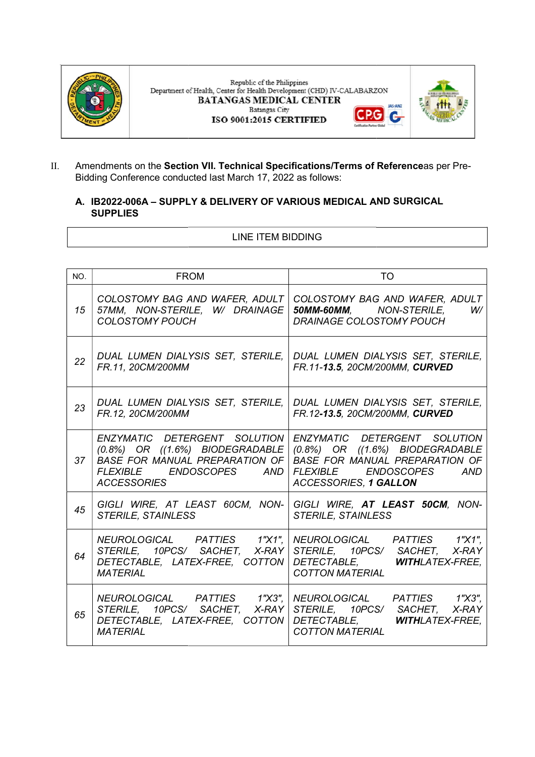

Republic of the Philippines Department of Health, Center for Health Development (CHD) IV-CALABARZON **BATANGAS MEDICAL CENTER** JAS-ANZ **Batangas City** G ISO 9001:2015 CERTIFIED



G

II. Amendments on the Section VII. Technical Specifications/Terms of Referenceas per Pre-Bidding Conference conducted last March 17, 2022 as follows:

## A. IB2022-006A – SUPPLY & DELIVERY OF VARIOUS MEDICAL AND SURGICAL **SUPPLIES**

#### LINE ITEM BIDDING

| NO. | <b>FROM</b>                                                                                                  | TO.                                                                                                                                                                                                                                                                   |  |
|-----|--------------------------------------------------------------------------------------------------------------|-----------------------------------------------------------------------------------------------------------------------------------------------------------------------------------------------------------------------------------------------------------------------|--|
| 15  | 57MM, NON-STERILE, W/ DRAINAGE<br><b>COLOSTOMY POUCH</b>                                                     | COLOSTOMY BAG AND WAFER, ADULT   COLOSTOMY BAG AND WAFER, ADULT<br><b>50MM-60MM, NON-STERILE,</b><br>W/<br>DRAINAGE COLOSTOMY POUCH                                                                                                                                   |  |
| 22  | FR.11, 20CM/200MM                                                                                            | DUAL LUMEN DIALYSIS SET, STERILE, DUAL LUMEN DIALYSIS SET, STERILE,<br>FR.11-13.5, 20CM/200MM, CURVED                                                                                                                                                                 |  |
| 23  | FR.12, 20CM/200MM                                                                                            | DUAL LUMEN DIALYSIS SET, STERILE, DUAL LUMEN DIALYSIS SET, STERILE,<br>FR.12-13.5, 20CM/200MM, CURVED                                                                                                                                                                 |  |
| 37  | FLEXIBLE ENDOSCOPES<br>AND I<br><b>ACCESSORIES</b>                                                           | ENZYMATIC DETERGENT SOLUTION ENZYMATIC DETERGENT SOLUTION<br>$(0.8%)$ OR $((1.6%)$ BIODEGRADABLE $(0.8%)$ OR $((1.6%)$ BIODEGRADABLE<br>BASE FOR MANUAL PREPARATION OF   BASE FOR MANUAL PREPARATION OF<br>FLEXIBLE ENDOSCOPES<br>AND<br><b>ACCESSORIES, 1 GALLON</b> |  |
| 45  | <b>STERILE, STAINLESS</b>                                                                                    | GIGLI WIRE, AT LEAST 60CM, NON- GIGLI WIRE, AT LEAST 50CM, NON-<br><b>STERILE, STAINLESS</b>                                                                                                                                                                          |  |
| 64  | STERILE, 10PCS/ SACHET, X-RAY   STERILE, 10PCS/ SACHET,<br>DETECTABLE, LATEX-FREE, COTTON<br><b>MATERIAL</b> | NEUROLOGICAL PATTIES 1"X1",   NEUROLOGICAL PATTIES 1"X1",<br>X-RAY<br>DETECTABLE, WITHLATEX-FREE,<br><b>COTTON MATERIAL</b>                                                                                                                                           |  |
| 65  | DETECTABLE, LATEX-FREE, COTTON DETECTABLE,<br><b>MATERIAL</b>                                                | NEUROLOGICAL PATTIES 1"X3",   NEUROLOGICAL PATTIES 1"X3",<br>STERILE, 10PCS/ SACHET, X-RAY STERILE, 10PCS/ SACHET, X-RAY<br><b>WITHLATEX-FREE.</b><br><b>COTTON MATERIAL</b>                                                                                          |  |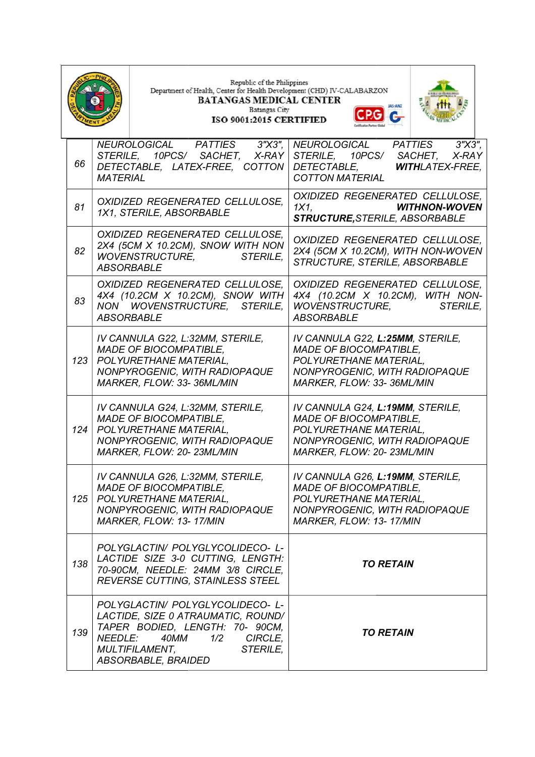|     |                   | Republic of the Philippines<br>Department of Health, Center for Health Development (CHD) IV-CALABARZON<br><b>BATANGAS MEDICAL CENTER</b><br>Batangas City<br><b>ISO 9001:2015 CERTIFIED</b>            | IAS-ANZ                                                                                                                                                   |                         |
|-----|-------------------|--------------------------------------------------------------------------------------------------------------------------------------------------------------------------------------------------------|-----------------------------------------------------------------------------------------------------------------------------------------------------------|-------------------------|
| 66  | <i>MATERIAL</i>   | <b>PATTIES</b><br>3"X3",<br>NEUROLOGICAL<br>STERILE, 10PCS/ SACHET, X-RAY<br>DETECTABLE, LATEX-FREE, COTTON                                                                                            | NEUROLOGICAL<br><b>PATTIES</b><br>STERILE, 10PCS/ SACHET,<br><b>WITHLATEX-FREE.</b><br>DETECTABLE,<br><b>COTTON MATERIAL</b>                              | $3''$ $X3''$ ,<br>X-RAY |
| 81  |                   | OXIDIZED REGENERATED CELLULOSE.<br>1X1, STERILE, ABSORBABLE                                                                                                                                            | OXIDIZED REGENERATED CELLULOSE,<br>1X1<br><b>WITHNON-WOVEN</b><br><b>STRUCTURE, STERILE, ABSORBABLE</b>                                                   |                         |
| 82  | <b>ABSORBABLE</b> | OXIDIZED REGENERATED CELLULOSE,<br>2X4 (5CM X 10.2CM), SNOW WITH NON<br><b>STERILE.</b><br><b>WOVENSTRUCTURE,</b>                                                                                      | OXIDIZED REGENERATED CELLULOSE,<br>2X4 (5CM X 10.2CM), WITH NON-WOVEN<br>STRUCTURE, STERILE, ABSORBABLE                                                   |                         |
| 83  |                   | OXIDIZED REGENERATED CELLULOSE.<br>4X4 (10.2CM X 10.2CM), SNOW WITH<br>NON WOVENSTRUCTURE, STERILE,<br><b>ABSORBABLE</b>                                                                               | OXIDIZED REGENERATED CELLULOSE.<br>4X4 (10.2CM X 10.2CM), WITH NON-<br><i>WOVENSTRUCTURE.</i><br><b>STERILE,</b><br><b>ABSORBABLE</b>                     |                         |
|     |                   | IV CANNULA G22, L:32MM, STERILE,<br><b>MADE OF BIOCOMPATIBLE,</b><br>123   POLYURETHANE MATERIAL,<br>NONPYROGENIC, WITH RADIOPAQUE<br>MARKER, FLOW: 33-36ML/MIN                                        | IV CANNULA G22, L:25MM, STERILE,<br><b>MADE OF BIOCOMPATIBLE,</b><br>POLYURETHANE MATERIAL,<br>NONPYROGENIC, WITH RADIOPAQUE<br>MARKER, FLOW: 33-36ML/MIN |                         |
|     |                   | IV CANNULA G24, L:32MM, STERILE,<br><b>MADE OF BIOCOMPATIBLE,</b><br>124   POLYURETHANE MATERIAL,<br>NONPYROGENIC, WITH RADIOPAQUE<br>MARKER, FLOW: 20-23ML/MIN                                        | IV CANNULA G24, L:19MM, STERILE,<br><b>MADE OF BIOCOMPATIBLE,</b><br>POLYURETHANE MATERIAL,<br>NONPYROGENIC, WITH RADIOPAQUE<br>MARKER, FLOW: 20-23ML/MIN |                         |
|     |                   | IV CANNULA G26, L:32MM, STERILE,<br><b>MADE OF BIOCOMPATIBLE,</b><br>125   POLYURETHANE MATERIAL,<br>NONPYROGENIC, WITH RADIOPAQUE<br>MARKER, FLOW: 13-17/MIN                                          | IV CANNULA G26, L:19MM, STERILE,<br><b>MADE OF BIOCOMPATIBLE,</b><br>POLYURETHANE MATERIAL,<br>NONPYROGENIC, WITH RADIOPAQUE<br>MARKER, FLOW: 13-17/MIN   |                         |
| 138 |                   | POLYGLACTIN/ POLYGLYCOLIDECO- L-<br>LACTIDE SIZE 3-0 CUTTING, LENGTH:<br>70-90CM, NEEDLE: 24MM 3/8 CIRCLE,<br><b>REVERSE CUTTING, STAINLESS STEEL</b>                                                  | <b>TO RETAIN</b>                                                                                                                                          |                         |
| 139 | NEEDLE:           | POLYGLACTIN/ POLYGLYCOLIDECO- L-<br>LACTIDE, SIZE 0 ATRAUMATIC, ROUND/<br>TAPER BODIED, LENGTH: 70- 90CM,<br>1/2<br>CIRCLE,<br>40MM<br><b>MULTIFILAMENT,</b><br><b>STERILE,</b><br>ABSORBABLE, BRAIDED | <b>TO RETAIN</b>                                                                                                                                          |                         |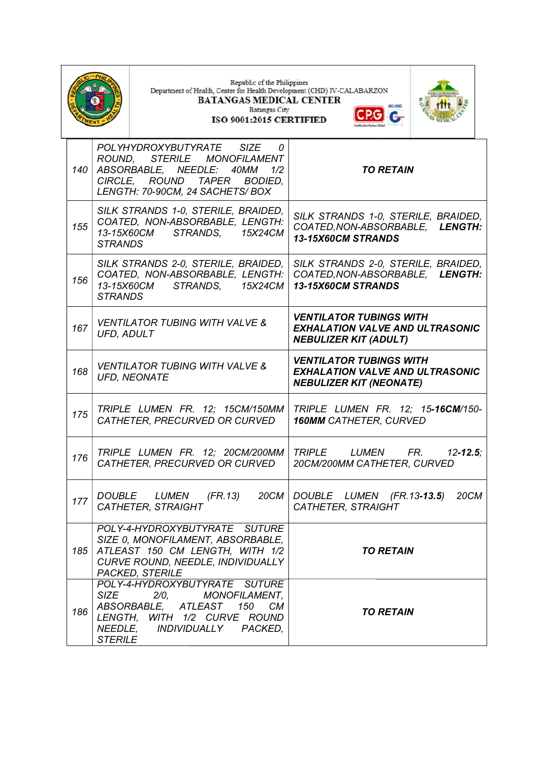|     |                                          | Republic of the Philippines<br>Department of Health, Center for Health Development (CHD) IV-CALABARZON<br><b>BATANGAS MEDICAL CENTER</b><br>Batangas City<br>ISO 9001:2015 CERTIFIED                   | <b>IAS-ANZ</b>                                                                                             |
|-----|------------------------------------------|--------------------------------------------------------------------------------------------------------------------------------------------------------------------------------------------------------|------------------------------------------------------------------------------------------------------------|
| 140 | ROUND,                                   | POLYHYDROXYBUTYRATE<br>SIZE<br>0<br><b>STERILE</b><br><i>MONOFILAMENT</i><br>ABSORBABLE, NEEDLE:<br>40MM<br>1/2<br>CIRCLE, ROUND<br><b>TAPER</b><br><b>BODIED.</b><br>LENGTH: 70-90CM, 24 SACHETS/ BOX | <b>TO RETAIN</b>                                                                                           |
| 155 | 13-15X60CM<br><b>STRANDS</b>             | SILK STRANDS 1-0, STERILE, BRAIDED,<br>COATED, NON-ABSORBABLE, LENGTH:<br>STRANDS,<br>15X24CM                                                                                                          | SILK STRANDS 1-0, STERILE, BRAIDED,<br>COATED, NON-ABSORBABLE,<br><b>LENGTH:</b><br>13-15X60CM STRANDS     |
| 156 | 13-15X60CM<br><b>STRANDS</b>             | SILK STRANDS 2-0, STERILE, BRAIDED,<br>COATED, NON-ABSORBABLE, LENGTH:<br>STRANDS,<br>15X24CM                                                                                                          | SILK STRANDS 2-0, STERILE, BRAIDED,<br>COATED, NON-ABSORBABLE, LENGTH:<br>13-15X60CM STRANDS               |
| 167 | UFD, ADULT                               | <b>VENTILATOR TUBING WITH VALVE &amp;</b>                                                                                                                                                              | <b>VENTILATOR TUBINGS WITH</b><br><b>EXHALATION VALVE AND ULTRASONIC</b><br><b>NEBULIZER KIT (ADULT)</b>   |
| 168 |                                          | <b>VENTILATOR TUBING WITH VALVE &amp;</b><br><b>UFD, NEONATE</b>                                                                                                                                       | <b>VENTILATOR TUBINGS WITH</b><br><b>EXHALATION VALVE AND ULTRASONIC</b><br><b>NEBULIZER KIT (NEONATE)</b> |
| 175 |                                          | TRIPLE LUMEN FR. 12; 15CM/150MM<br>CATHETER, PRECURVED OR CURVED                                                                                                                                       | TRIPLE LUMEN FR. 12; 15-16CM/150-<br><b>160MM CATHETER, CURVED</b>                                         |
| 176 |                                          | TRIPLE LUMEN FR. 12; 20CM/200MM TRIPLE<br>CATHETER, PRECURVED OR CURVED                                                                                                                                | <b>LUMEN</b><br>FR.<br>$12 - 12.5$<br>20CM/200MM CATHETER, CURVED                                          |
| 177 | <i>DOUBLE</i>                            | LUMEN<br>(FR.13)<br>20CM<br><b>CATHETER, STRAIGHT</b>                                                                                                                                                  | DOUBLE LUMEN (FR.13-13.5)<br><b>20CM</b><br><b>CATHETER, STRAIGHT</b>                                      |
|     |                                          | POLY-4-HYDROXYBUTYRATE SUTURE<br>SIZE 0, MONOFILAMENT, ABSORBABLE,<br>185 ATLEAST 150 CM LENGTH, WITH 1/2<br>CURVE ROUND, NEEDLE, INDIVIDUALLY<br><b>PACKED, STERILE</b>                               | <b>TO RETAIN</b>                                                                                           |
| 186 | <b>SIZE</b><br>NEEDLE,<br><b>STERILE</b> | POLY-4-HYDROXYBUTYRATE SUTURE<br>2/0,<br><b>MONOFILAMENT,</b><br>ABSORBABLE, ATLEAST 150 CM<br>LENGTH, WITH 1/2 CURVE ROUND<br><i>INDIVIDUALLY</i><br>PACKED,                                          | <b>TO RETAIN</b>                                                                                           |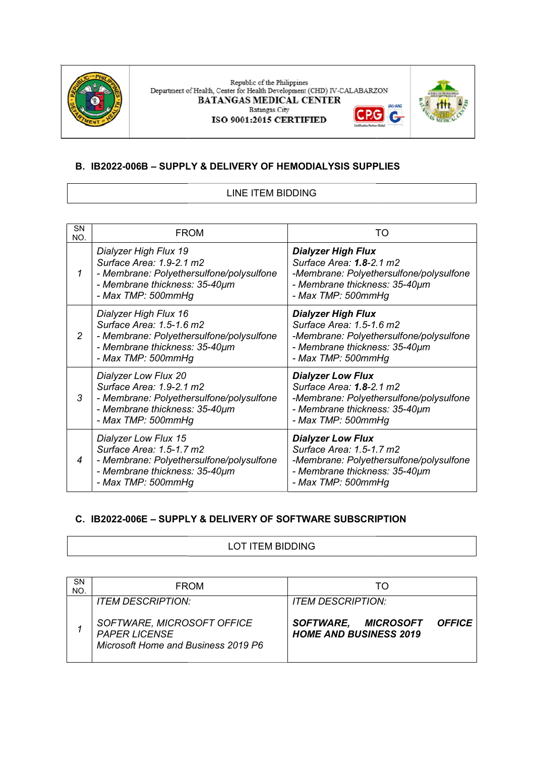

 ${\bf Republic~of~the~Philippines}$  Department of Health, Center for Health Development (CHD) IV-CALABARZON **BATANGAS MEDICAL CENTER JAS-ANZ Batangas City** G G ISO 9001:2015 CERTIFIED



## B. IB2022-006B – SUPPLY & DELIVERY OF HEMODIALYSIS SUPPLIES

## LINE ITEM BIDDING

| <b>SN</b><br>NO. | <b>FROM</b>                                                                                                                                          | TO                                                                                                                                                      |
|------------------|------------------------------------------------------------------------------------------------------------------------------------------------------|---------------------------------------------------------------------------------------------------------------------------------------------------------|
|                  | Dialyzer High Flux 19<br>Surface Area: 1.9-2.1 m2<br>- Membrane: Polyethersulfone/polysulfone<br>- Membrane thickness: 35-40µm<br>- Max TMP: 500mmHg | <b>Dialyzer High Flux</b><br>Surface Area: 1.8-2.1 m2<br>-Membrane: Polyethersulfone/polysulfone<br>- Membrane thickness: 35-40µm<br>- Max TMP: 500mmHg |
| $\overline{2}$   | Dialyzer High Flux 16<br>Surface Area: 1.5-1.6 m2<br>- Membrane: Polyethersulfone/polysulfone<br>- Membrane thickness: 35-40µm<br>- Max TMP: 500mmHg | <b>Dialyzer High Flux</b><br>Surface Area: 1.5-1.6 m2<br>-Membrane: Polyethersulfone/polysulfone<br>- Membrane thickness: 35-40µm<br>- Max TMP: 500mmHg |
| 3                | Dialyzer Low Flux 20<br>Surface Area: 1.9-2.1 m2<br>- Membrane: Polyethersulfone/polysulfone<br>- Membrane thickness: 35-40µm<br>- Max TMP: 500mmHg  | <b>Dialyzer Low Flux</b><br>Surface Area: 1.8-2.1 m2<br>-Membrane: Polyethersulfone/polysulfone<br>- Membrane thickness: 35-40µm<br>- Max TMP: 500mmHg  |
| $\overline{4}$   | Dialyzer Low Flux 15<br>Surface Area: 1.5-1.7 m2<br>- Membrane: Polyethersulfone/polysulfone<br>- Membrane thickness: 35-40µm<br>- Max TMP: 500mmHg  | <b>Dialyzer Low Flux</b><br>Surface Area: 1.5-1.7 m2<br>-Membrane: Polyethersulfone/polysulfone<br>- Membrane thickness: 35-40µm<br>- Max TMP: 500mmHg  |

## C. IB2022-006E – SUPPLY & DELIVERY OF SOFTWARE SUBSCRIPTION

#### LOT ITEM BIDDING

| <b>SN</b><br>NO. | <b>FROM</b>                                                                               |                                                                                 |
|------------------|-------------------------------------------------------------------------------------------|---------------------------------------------------------------------------------|
|                  | <b>ITEM DESCRIPTION:</b>                                                                  | <b>ITEM DESCRIPTION:</b>                                                        |
|                  | SOFTWARE, MICROSOFT OFFICE<br><b>PAPER LICENSE</b><br>Microsoft Home and Business 2019 P6 | <b>MICROSOFT</b><br>SOFTWARE,<br><b>OFFICE</b><br><b>HOME AND BUSINESS 2019</b> |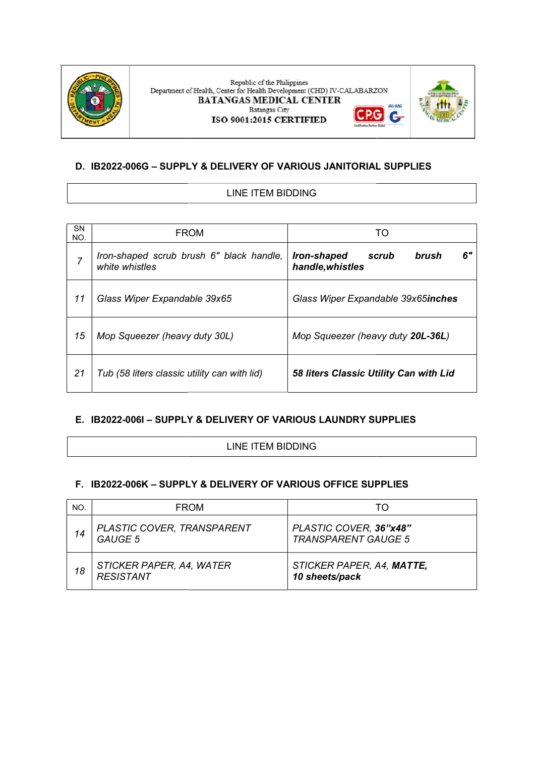

#### Republic of the Philippines Department of Health, Center for Health Development (CHD) IV-CALABARZON **BATANGAS MEDICAL CENTER** JAS-ANZ **Batangas City** G G ISO 9001:2015 CERTIFIED



## D. IB2022-006G – SUPPLY & DELIVERY OF VARIOUS JANITORIAL SUPPLIES

## LINE ITEM BIDDING

| SN<br>NO.      | <b>FROM</b>                                                           | TO                                                      |  |  |
|----------------|-----------------------------------------------------------------------|---------------------------------------------------------|--|--|
| $\overline{7}$ | Iron-shaped scrub brush 6" black handle,<br>white whistles            | 6"<br>Iron-shaped<br>scrub<br>brush<br>handle, whistles |  |  |
| 11             | Glass Wiper Expandable 39x65                                          | Glass Wiper Expandable 39x65inches                      |  |  |
| 15             | Mop Squeezer (heavy duty 30L)                                         | Mop Squeezer (heavy duty 20L-36L)                       |  |  |
| 21             | Tub (58 liters classic utility can with lid)                          | 58 liters Classic Utility Can with Lid                  |  |  |
|                | E. IB2022-006I - SUPPLY & DELIVERY OF VARIOUS LAUNDRY SUPPLIES        |                                                         |  |  |
|                | <b>LINE ITEM BIDDING</b>                                              |                                                         |  |  |
| F.,            | <b>IB2022-006K - SUPPLY &amp; DELIVERY OF VARIOUS OFFICE SUPPLIES</b> |                                                         |  |  |

## E. IB2022-006I – SUPPLY & DELIVERY OF VARIOUS LAUNDRY SUPPLIES LAUNDRY SUPPLIES

#### LINE ITEM BIDDING

#### F. IB2022-006K – SUPPLY & DELIVERY OF VARIOUS OFFICE SUPPLIES SUPPLY & DELIVERY OF VARIOUS OFFICE SUPPLIES

| NO. | <b>FROM</b>                                  |                                                      |
|-----|----------------------------------------------|------------------------------------------------------|
| 14  | PLASTIC COVER, TRANSPARENT<br><b>GAUGE 5</b> | PLASTIC COVER, 36"x48"<br><b>TRANSPARENT GAUGE 5</b> |
| 18  | STICKER PAPER, A4, WATER<br><b>RESISTANT</b> | STICKER PAPER, A4, MATTE,<br>10 sheets/pack          |